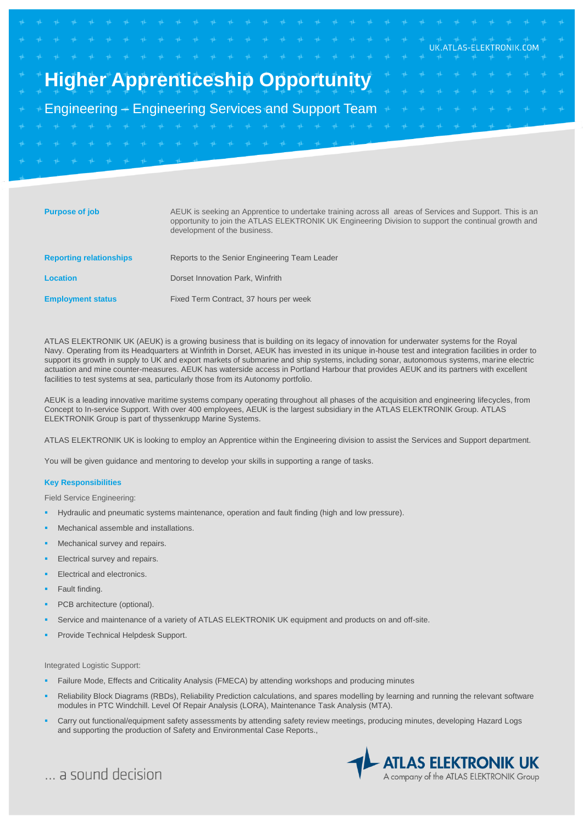# **Higher Apprenticeship Opportunity**

Engineering – Engineering Services and Support Team

| <b>Purpose of job</b>          | AEUK is seeking an Apprentice to undertake training across all areas of Services and Support. This is an<br>opportunity to join the ATLAS ELEKTRONIK UK Engineering Division to support the continual growth and<br>development of the business. |
|--------------------------------|--------------------------------------------------------------------------------------------------------------------------------------------------------------------------------------------------------------------------------------------------|
| <b>Reporting relationships</b> | Reports to the Senior Engineering Team Leader                                                                                                                                                                                                    |
| Location                       | Dorset Innovation Park, Winfrith                                                                                                                                                                                                                 |
| <b>Employment status</b>       | Fixed Term Contract, 37 hours per week                                                                                                                                                                                                           |

ATLAS ELEKTRONIK UK (AEUK) is a growing business that is building on its legacy of innovation for underwater systems for the Royal Navy. Operating from its Headquarters at Winfrith in Dorset, AEUK has invested in its unique in-house test and integration facilities in order to support its growth in supply to UK and export markets of submarine and ship systems, including sonar, autonomous systems, marine electric actuation and mine counter-measures. AEUK has waterside access in Portland Harbour that provides AEUK and its partners with excellent facilities to test systems at sea, particularly those from its Autonomy portfolio.

AEUK is a leading innovative maritime systems company operating throughout all phases of the acquisition and engineering lifecycles, from Concept to In-service Support. With over 400 employees, AEUK is the largest subsidiary in the ATLAS ELEKTRONIK Group. ATLAS ELEKTRONIK Group is part of thyssenkrupp Marine Systems.

ATLAS ELEKTRONIK UK is looking to employ an Apprentice within the Engineering division to assist the Services and Support department.

You will be given guidance and mentoring to develop your skills in supporting a range of tasks.

#### **Key Responsibilities**

Field Service Engineering:

- Hydraulic and pneumatic systems maintenance, operation and fault finding (high and low pressure).
- Mechanical assemble and installations.
- Mechanical survey and repairs.
- Electrical survey and repairs.
- Electrical and electronics.
- Fault finding.
- PCB architecture (optional).
- Service and maintenance of a variety of ATLAS ELEKTRONIK UK equipment and products on and off-site.
- Provide Technical Helpdesk Support.

Integrated Logistic Support:

- Failure Mode, Effects and Criticality Analysis (FMECA) by attending workshops and producing minutes
- Reliability Block Diagrams (RBDs), Reliability Prediction calculations, and spares modelling by learning and running the relevant software modules in PTC Windchill. Level Of Repair Analysis (LORA), Maintenance Task Analysis (MTA).
- Carry out functional/equipment safety assessments by attending safety review meetings, producing minutes, developing Hazard Logs and supporting the production of Safety and Environmental Case Reports.,



**IIK ATI AS-FI FKTRONIK COM**